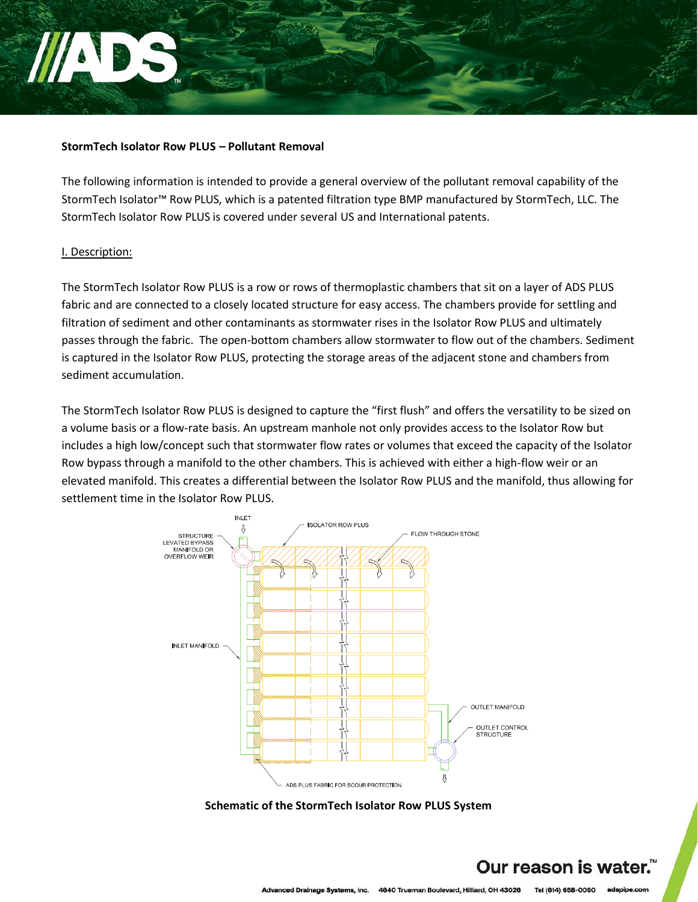## **StormTech Isolator Row PLUS – Pollutant Removal**

The following information is intended to provide a general overview of the pollutant removal capability of the StormTech Isolator™ Row PLUS, which is a patented filtration type BMP manufactured by StormTech, LLC. The StormTech Isolator Row PLUS is covered under several US and International patents.

### I. Description:

The StormTech Isolator Row PLUS is a row or rows of thermoplastic chambers that sit on a layer of ADS PLUS fabric and are connected to a closely located structure for easy access. The chambers provide for settling and filtration of sediment and other contaminants as stormwater rises in the Isolator Row PLUS and ultimately passes through the fabric. The open-bottom chambers allow stormwater to flow out of the chambers. Sediment is captured in the Isolator Row PLUS, protecting the storage areas of the adjacent stone and chambers from sediment accumulation.

The StormTech Isolator Row PLUS is designed to capture the "first flush" and offers the versatility to be sized on a volume basis or a flow-rate basis. An upstream manhole not only provides access to the Isolator Row but includes a high low/concept such that stormwater flow rates or volumes that exceed the capacity of the Isolator Row bypass through a manifold to the other chambers. This is achieved with either a high-flow weir or an elevated manifold. This creates a differential between the Isolator Row PLUS and the manifold, thus allowing for settlement time in the Isolator Row PLUS.



**Schematic of the StormTech Isolator Row PLUS System**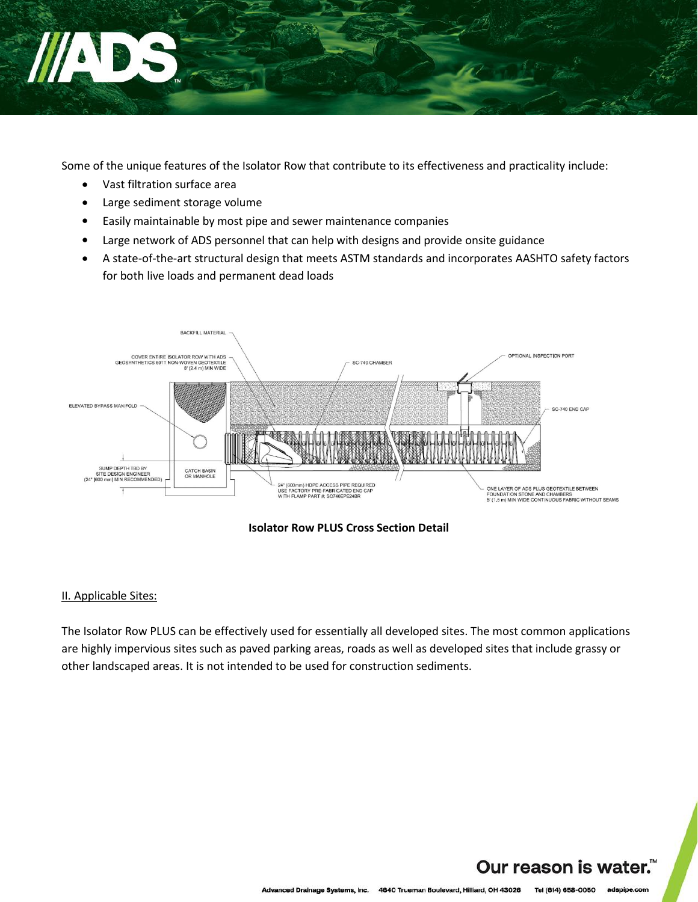

Some of the unique features of the Isolator Row that contribute to its effectiveness and practicality include:

- Vast filtration surface area
- Large sediment storage volume
- Easily maintainable by most pipe and sewer maintenance companies
- Large network of ADS personnel that can help with designs and provide onsite guidance
- A state-of-the-art structural design that meets ASTM standards and incorporates AASHTO safety factors for both live loads and permanent dead loads



**Isolator Row PLUS Cross Section Detail**

## II. Applicable Sites:

The Isolator Row PLUS can be effectively used for essentially all developed sites. The most common applications are highly impervious sites such as paved parking areas, roads as well as developed sites that include grassy or other landscaped areas. It is not intended to be used for construction sediments.

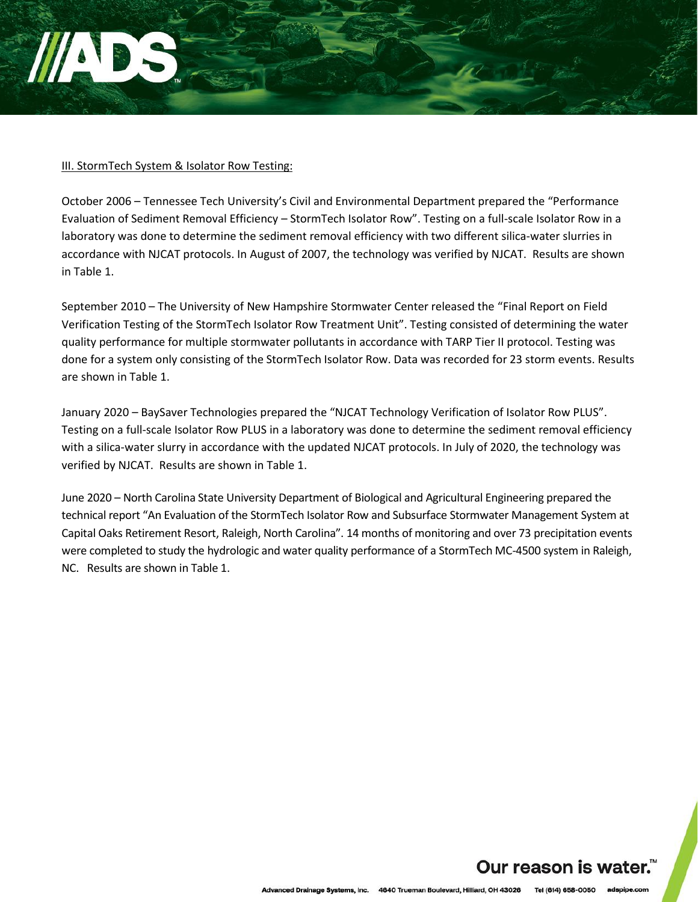### III. StormTech System & Isolator Row Testing:

October 2006 – Tennessee Tech University's Civil and Environmental Department prepared the "Performance Evaluation of Sediment Removal Efficiency – StormTech Isolator Row". Testing on a full-scale Isolator Row in a laboratory was done to determine the sediment removal efficiency with two different silica-water slurries in accordance with NJCAT protocols. In August of 2007, the technology was verified by NJCAT. Results are shown in Table 1.

September 2010 – The University of New Hampshire Stormwater Center released the "Final Report on Field Verification Testing of the StormTech Isolator Row Treatment Unit". Testing consisted of determining the water quality performance for multiple stormwater pollutants in accordance with TARP Tier II protocol. Testing was done for a system only consisting of the StormTech Isolator Row. Data was recorded for 23 storm events. Results are shown in Table 1.

January 2020 – BaySaver Technologies prepared the "NJCAT Technology Verification of Isolator Row PLUS". Testing on a full-scale Isolator Row PLUS in a laboratory was done to determine the sediment removal efficiency with a silica-water slurry in accordance with the updated NJCAT protocols. In July of 2020, the technology was verified by NJCAT. Results are shown in Table 1.

June 2020 – North Carolina State University Department of Biological and Agricultural Engineering prepared the technical report "An Evaluation of the StormTech Isolator Row and Subsurface Stormwater Management System at Capital Oaks Retirement Resort, Raleigh, North Carolina". 14 months of monitoring and over 73 precipitation events were completed to study the hydrologic and water quality performance of a StormTech MC-4500 system in Raleigh, NC. Results are shown in Table 1.

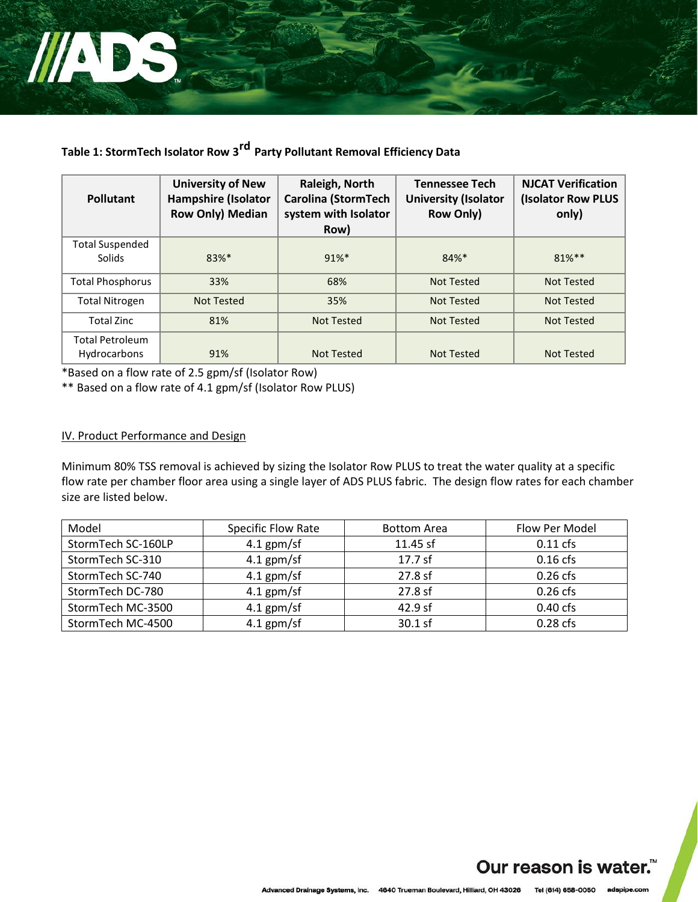

# **Table 1: StormTech Isolator Row 3 rd Party Pollutant Removal Efficiency Data**

| <b>Pollutant</b>                       | <b>University of New</b><br><b>Hampshire (Isolator</b><br><b>Row Only) Median</b> | Raleigh, North<br><b>Carolina (StormTech</b><br>system with Isolator<br>Row) | <b>Tennessee Tech</b><br><b>University (Isolator</b><br><b>Row Only)</b> | <b>NJCAT Verification</b><br>(Isolator Row PLUS<br>only) |
|----------------------------------------|-----------------------------------------------------------------------------------|------------------------------------------------------------------------------|--------------------------------------------------------------------------|----------------------------------------------------------|
| <b>Total Suspended</b><br>Solids       | 83%*                                                                              | $91\%$ *                                                                     | 84%*                                                                     | $81\%**$                                                 |
| Total Phosphorus                       | 33%                                                                               | 68%                                                                          | <b>Not Tested</b>                                                        | Not Tested                                               |
| <b>Total Nitrogen</b>                  | <b>Not Tested</b>                                                                 | 35%                                                                          | <b>Not Tested</b>                                                        | <b>Not Tested</b>                                        |
| <b>Total Zinc</b>                      | 81%                                                                               | <b>Not Tested</b>                                                            | Not Tested                                                               | <b>Not Tested</b>                                        |
| <b>Total Petroleum</b><br>Hydrocarbons | 91%                                                                               | Not Tested                                                                   | <b>Not Tested</b>                                                        | Not Tested                                               |

\*Based on a flow rate of 2.5 gpm/sf (Isolator Row)

\*\* Based on a flow rate of 4.1 gpm/sf (Isolator Row PLUS)

## IV. Product Performance and Design

Minimum 80% TSS removal is achieved by sizing the Isolator Row PLUS to treat the water quality at a specific flow rate per chamber floor area using a single layer of ADS PLUS fabric. The design flow rates for each chamber size are listed below.

| Model              | <b>Specific Flow Rate</b> | <b>Bottom Area</b> | Flow Per Model |
|--------------------|---------------------------|--------------------|----------------|
| StormTech SC-160LP | $4.1$ gpm/sf              | $11.45$ sf         | $0.11$ cfs     |
| StormTech SC-310   | $4.1$ gpm/sf              | 17.7 sf            | $0.16$ cfs     |
| StormTech SC-740   | $4.1$ gpm/sf              | 27.8 sf            | $0.26$ cfs     |
| StormTech DC-780   | $4.1$ gpm/sf              | 27.8 sf            | $0.26$ cfs     |
| StormTech MC-3500  | $4.1$ gpm/sf              | 42.9 sf            | $0.40$ cfs     |
| StormTech MC-4500  | $4.1$ gpm/sf              | 30.1 sf            | $0.28$ cfs     |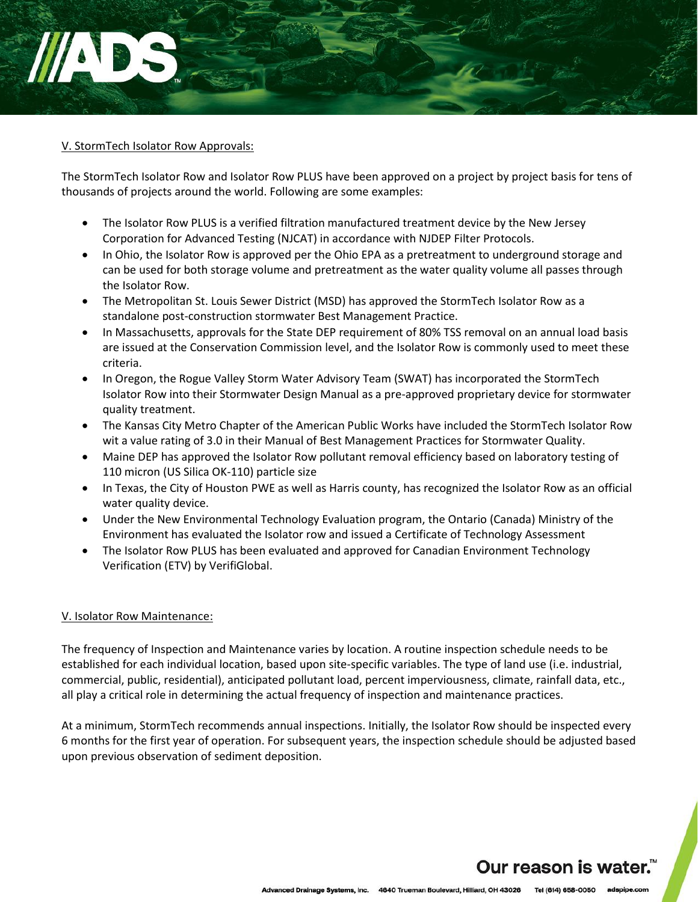

## V. StormTech Isolator Row Approvals:

The StormTech Isolator Row and Isolator Row PLUS have been approved on a project by project basis for tens of thousands of projects around the world. Following are some examples:

- The Isolator Row PLUS is a verified filtration manufactured treatment device by the New Jersey Corporation for Advanced Testing (NJCAT) in accordance with NJDEP Filter Protocols.
- In Ohio, the Isolator Row is approved per the Ohio EPA as a pretreatment to underground storage and can be used for both storage volume and pretreatment as the water quality volume all passes through the Isolator Row.
- The Metropolitan St. Louis Sewer District (MSD) has approved the StormTech Isolator Row as a standalone post-construction stormwater Best Management Practice.
- In Massachusetts, approvals for the State DEP requirement of 80% TSS removal on an annual load basis are issued at the Conservation Commission level, and the Isolator Row is commonly used to meet these criteria.
- In Oregon, the Rogue Valley Storm Water Advisory Team (SWAT) has incorporated the StormTech Isolator Row into their Stormwater Design Manual as a pre-approved proprietary device for stormwater quality treatment.
- The Kansas City Metro Chapter of the American Public Works have included the StormTech Isolator Row wit a value rating of 3.0 in their Manual of Best Management Practices for Stormwater Quality.
- Maine DEP has approved the Isolator Row pollutant removal efficiency based on laboratory testing of 110 micron (US Silica OK-110) particle size
- In Texas, the City of Houston PWE as well as Harris county, has recognized the Isolator Row as an official water quality device.
- Under the New Environmental Technology Evaluation program, the Ontario (Canada) Ministry of the Environment has evaluated the Isolator row and issued a Certificate of Technology Assessment
- The Isolator Row PLUS has been evaluated and approved for Canadian Environment Technology Verification (ETV) by VerifiGlobal.

#### V. Isolator Row Maintenance:

The frequency of Inspection and Maintenance varies by location. A routine inspection schedule needs to be established for each individual location, based upon site-specific variables. The type of land use (i.e. industrial, commercial, public, residential), anticipated pollutant load, percent imperviousness, climate, rainfall data, etc., all play a critical role in determining the actual frequency of inspection and maintenance practices.

At a minimum, StormTech recommends annual inspections. Initially, the Isolator Row should be inspected every 6 months for the first year of operation. For subsequent years, the inspection schedule should be adjusted based upon previous observation of sediment deposition.